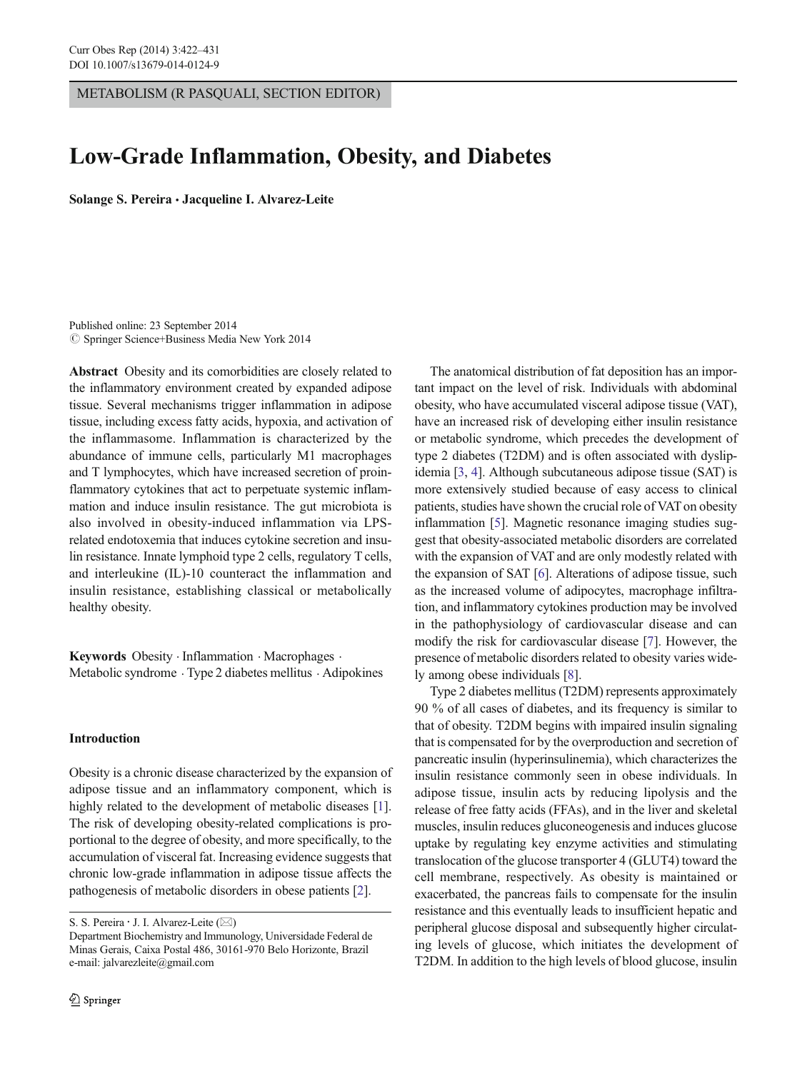METABOLISM (R PASQUALI, SECTION EDITOR)

# Low-Grade Inflammation, Obesity, and Diabetes

Solange S. Pereira · Jacqueline I. Alvarez-Leite

Published online: 23 September 2014  $\circled{c}$  Springer Science+Business Media New York 2014

Abstract Obesity and its comorbidities are closely related to the inflammatory environment created by expanded adipose tissue. Several mechanisms trigger inflammation in adipose tissue, including excess fatty acids, hypoxia, and activation of the inflammasome. Inflammation is characterized by the abundance of immune cells, particularly M1 macrophages and T lymphocytes, which have increased secretion of proinflammatory cytokines that act to perpetuate systemic inflammation and induce insulin resistance. The gut microbiota is also involved in obesity-induced inflammation via LPSrelated endotoxemia that induces cytokine secretion and insulin resistance. Innate lymphoid type 2 cells, regulatory T cells, and interleukine (IL)-10 counteract the inflammation and insulin resistance, establishing classical or metabolically healthy obesity.

Keywords Obesity . Inflammation . Macrophages . Metabolic syndrome . Type 2 diabetes mellitus . Adipokines

#### Introduction

Obesity is a chronic disease characterized by the expansion of adipose tissue and an inflammatory component, which is highly related to the development of metabolic diseases [[1\]](#page-6-0). The risk of developing obesity-related complications is proportional to the degree of obesity, and more specifically, to the accumulation of visceral fat. Increasing evidence suggests that chronic low-grade inflammation in adipose tissue affects the pathogenesis of metabolic disorders in obese patients [[2\]](#page-7-0).

S. S. Pereira  $\cdot$  J. I. Alvarez-Leite ( $\boxtimes$ )

The anatomical distribution of fat deposition has an important impact on the level of risk. Individuals with abdominal obesity, who have accumulated visceral adipose tissue (VAT), have an increased risk of developing either insulin resistance or metabolic syndrome, which precedes the development of type 2 diabetes (T2DM) and is often associated with dyslipidemia [\[3,](#page-7-0) [4\]](#page-7-0). Although subcutaneous adipose tissue (SAT) is more extensively studied because of easy access to clinical patients, studies have shown the crucial role of VAT on obesity inflammation [\[5\]](#page-7-0). Magnetic resonance imaging studies suggest that obesity-associated metabolic disorders are correlated with the expansion of VAT and are only modestly related with the expansion of SAT [\[6](#page-7-0)]. Alterations of adipose tissue, such as the increased volume of adipocytes, macrophage infiltration, and inflammatory cytokines production may be involved in the pathophysiology of cardiovascular disease and can modify the risk for cardiovascular disease [[7\]](#page-7-0). However, the presence of metabolic disorders related to obesity varies widely among obese individuals [\[8\]](#page-7-0).

Type 2 diabetes mellitus (T2DM) represents approximately 90 % of all cases of diabetes, and its frequency is similar to that of obesity. T2DM begins with impaired insulin signaling that is compensated for by the overproduction and secretion of pancreatic insulin (hyperinsulinemia), which characterizes the insulin resistance commonly seen in obese individuals. In adipose tissue, insulin acts by reducing lipolysis and the release of free fatty acids (FFAs), and in the liver and skeletal muscles, insulin reduces gluconeogenesis and induces glucose uptake by regulating key enzyme activities and stimulating translocation of the glucose transporter 4 (GLUT4) toward the cell membrane, respectively. As obesity is maintained or exacerbated, the pancreas fails to compensate for the insulin resistance and this eventually leads to insufficient hepatic and peripheral glucose disposal and subsequently higher circulating levels of glucose, which initiates the development of T2DM. In addition to the high levels of blood glucose, insulin

Department Biochemistry and Immunology, Universidade Federal de Minas Gerais, Caixa Postal 486, 30161-970 Belo Horizonte, Brazil e-mail: jalvarezleite@gmail.com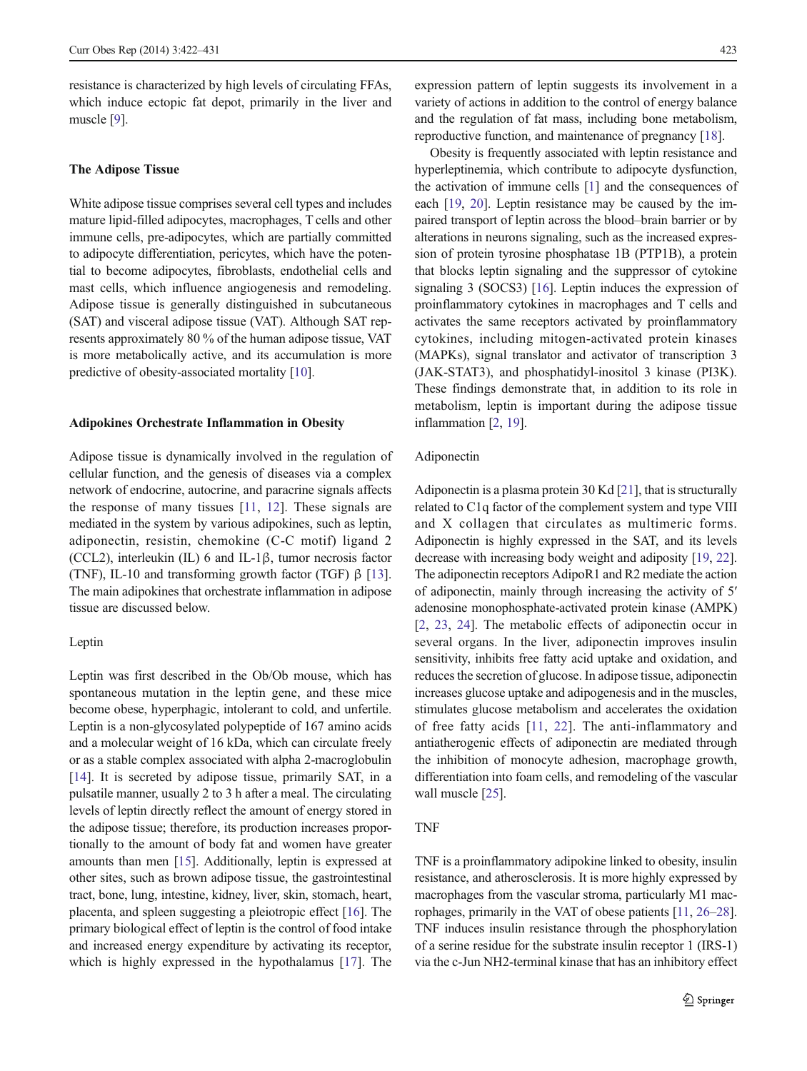resistance is characterized by high levels of circulating FFAs, which induce ectopic fat depot, primarily in the liver and muscle [\[9](#page-7-0)].

#### The Adipose Tissue

White adipose tissue comprises several cell types and includes mature lipid-filled adipocytes, macrophages, T cells and other immune cells, pre-adipocytes, which are partially committed to adipocyte differentiation, pericytes, which have the potential to become adipocytes, fibroblasts, endothelial cells and mast cells, which influence angiogenesis and remodeling. Adipose tissue is generally distinguished in subcutaneous (SAT) and visceral adipose tissue (VAT). Although SAT represents approximately 80 % of the human adipose tissue, VAT is more metabolically active, and its accumulation is more predictive of obesity-associated mortality [\[10\]](#page-7-0).

#### Adipokines Orchestrate Inflammation in Obesity

Adipose tissue is dynamically involved in the regulation of cellular function, and the genesis of diseases via a complex network of endocrine, autocrine, and paracrine signals affects the response of many tissues [\[11,](#page-7-0) [12\]](#page-7-0). These signals are mediated in the system by various adipokines, such as leptin, adiponectin, resistin, chemokine (C-C motif) ligand 2 (CCL2), interleukin (IL) 6 and IL-1β, tumor necrosis factor (TNF), IL-10 and transforming growth factor (TGF)  $\beta$  [[13\]](#page-7-0). The main adipokines that orchestrate inflammation in adipose tissue are discussed below.

## Leptin

Leptin was first described in the Ob/Ob mouse, which has spontaneous mutation in the leptin gene, and these mice become obese, hyperphagic, intolerant to cold, and unfertile. Leptin is a non-glycosylated polypeptide of 167 amino acids and a molecular weight of 16 kDa, which can circulate freely or as a stable complex associated with alpha 2-macroglobulin [\[14](#page-7-0)]. It is secreted by adipose tissue, primarily SAT, in a pulsatile manner, usually 2 to 3 h after a meal. The circulating levels of leptin directly reflect the amount of energy stored in the adipose tissue; therefore, its production increases proportionally to the amount of body fat and women have greater amounts than men [[15](#page-7-0)]. Additionally, leptin is expressed at other sites, such as brown adipose tissue, the gastrointestinal tract, bone, lung, intestine, kidney, liver, skin, stomach, heart, placenta, and spleen suggesting a pleiotropic effect [[16\]](#page-7-0). The primary biological effect of leptin is the control of food intake and increased energy expenditure by activating its receptor, which is highly expressed in the hypothalamus [[17\]](#page-7-0). The expression pattern of leptin suggests its involvement in a variety of actions in addition to the control of energy balance and the regulation of fat mass, including bone metabolism, reproductive function, and maintenance of pregnancy [\[18\]](#page-7-0).

Obesity is frequently associated with leptin resistance and hyperleptinemia, which contribute to adipocyte dysfunction, the activation of immune cells [\[1](#page-6-0)] and the consequences of each [\[19,](#page-7-0) [20\]](#page-7-0). Leptin resistance may be caused by the impaired transport of leptin across the blood–brain barrier or by alterations in neurons signaling, such as the increased expression of protein tyrosine phosphatase 1B (PTP1B), a protein that blocks leptin signaling and the suppressor of cytokine signaling 3 (SOCS3) [[16](#page-7-0)]. Leptin induces the expression of proinflammatory cytokines in macrophages and T cells and activates the same receptors activated by proinflammatory cytokines, including mitogen-activated protein kinases (MAPKs), signal translator and activator of transcription 3 (JAK-STAT3), and phosphatidyl-inositol 3 kinase (PI3K). These findings demonstrate that, in addition to its role in metabolism, leptin is important during the adipose tissue inflammation [\[2,](#page-7-0) [19\]](#page-7-0).

# Adiponectin

Adiponectin is a plasma protein 30 Kd [\[21](#page-7-0)], that is structurally related to C1q factor of the complement system and type VIII and X collagen that circulates as multimeric forms. Adiponectin is highly expressed in the SAT, and its levels decrease with increasing body weight and adiposity [[19,](#page-7-0) [22\]](#page-7-0). The adiponectin receptors AdipoR1 and R2 mediate the action of adiponectin, mainly through increasing the activity of 5′ adenosine monophosphate-activated protein kinase (AMPK) [\[2](#page-7-0), [23,](#page-7-0) [24](#page-7-0)]. The metabolic effects of adiponectin occur in several organs. In the liver, adiponectin improves insulin sensitivity, inhibits free fatty acid uptake and oxidation, and reduces the secretion of glucose. In adipose tissue, adiponectin increases glucose uptake and adipogenesis and in the muscles, stimulates glucose metabolism and accelerates the oxidation of free fatty acids [[11,](#page-7-0) [22](#page-7-0)]. The anti-inflammatory and antiatherogenic effects of adiponectin are mediated through the inhibition of monocyte adhesion, macrophage growth, differentiation into foam cells, and remodeling of the vascular wall muscle [[25](#page-7-0)].

#### TNF

TNF is a proinflammatory adipokine linked to obesity, insulin resistance, and atherosclerosis. It is more highly expressed by macrophages from the vascular stroma, particularly M1 macrophages, primarily in the VAT of obese patients [[11](#page-7-0), [26](#page-7-0)–[28\]](#page-7-0). TNF induces insulin resistance through the phosphorylation of a serine residue for the substrate insulin receptor 1 (IRS-1) via the c-Jun NH2-terminal kinase that has an inhibitory effect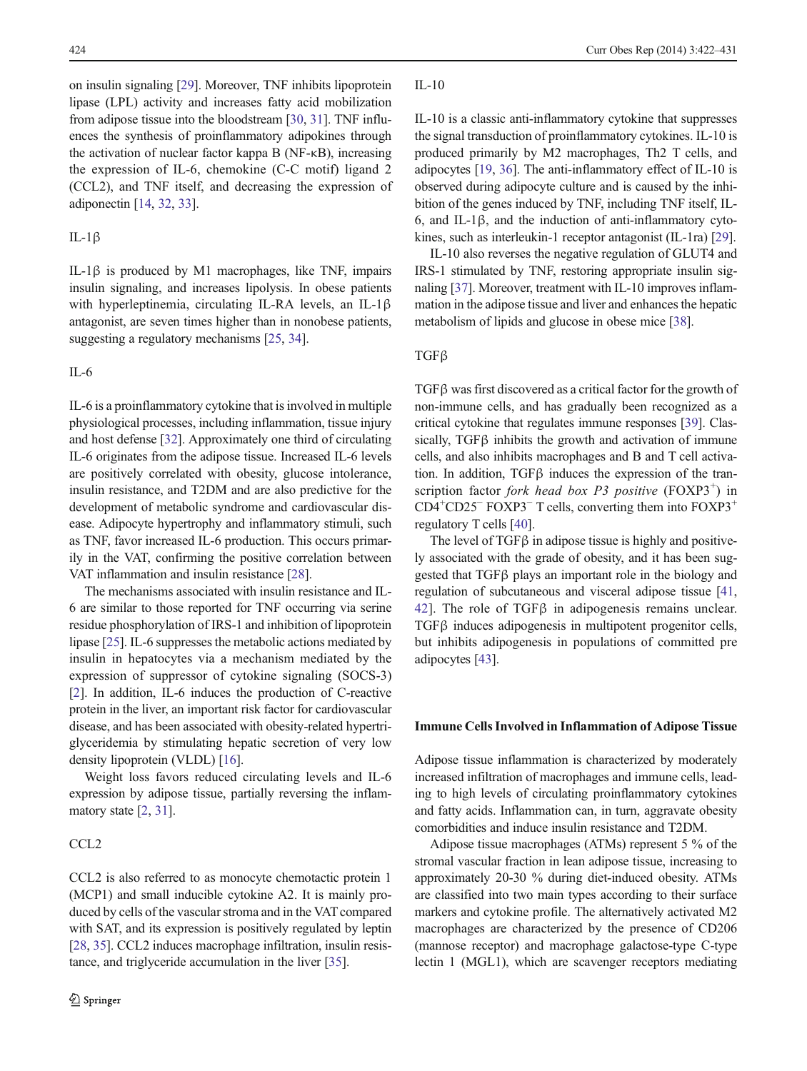on insulin signaling [\[29](#page-7-0)]. Moreover, TNF inhibits lipoprotein lipase (LPL) activity and increases fatty acid mobilization from adipose tissue into the bloodstream [\[30,](#page-7-0) [31\]](#page-7-0). TNF influences the synthesis of proinflammatory adipokines through the activation of nuclear factor kappa B (NF-κB), increasing the expression of IL-6, chemokine (C-C motif) ligand 2 (CCL2), and TNF itself, and decreasing the expression of adiponectin [[14,](#page-7-0) [32,](#page-7-0) [33](#page-7-0)].

## IL-1β

IL-1β is produced by M1 macrophages, like TNF, impairs insulin signaling, and increases lipolysis. In obese patients with hyperleptinemia, circulating IL-RA levels, an IL-1β antagonist, are seven times higher than in nonobese patients, suggesting a regulatory mechanisms [\[25,](#page-7-0) [34\]](#page-7-0).

# IL-6

IL-6 is a proinflammatory cytokine that is involved in multiple physiological processes, including inflammation, tissue injury and host defense [\[32](#page-7-0)]. Approximately one third of circulating IL-6 originates from the adipose tissue. Increased IL-6 levels are positively correlated with obesity, glucose intolerance, insulin resistance, and T2DM and are also predictive for the development of metabolic syndrome and cardiovascular disease. Adipocyte hypertrophy and inflammatory stimuli, such as TNF, favor increased IL-6 production. This occurs primarily in the VAT, confirming the positive correlation between VAT inflammation and insulin resistance [\[28\]](#page-7-0).

The mechanisms associated with insulin resistance and IL-6 are similar to those reported for TNF occurring via serine residue phosphorylation of IRS-1 and inhibition of lipoprotein lipase [[25](#page-7-0)]. IL-6 suppresses the metabolic actions mediated by insulin in hepatocytes via a mechanism mediated by the expression of suppressor of cytokine signaling (SOCS-3) [\[2](#page-7-0)]. In addition, IL-6 induces the production of C-reactive protein in the liver, an important risk factor for cardiovascular disease, and has been associated with obesity-related hypertriglyceridemia by stimulating hepatic secretion of very low density lipoprotein (VLDL) [[16](#page-7-0)].

Weight loss favors reduced circulating levels and IL-6 expression by adipose tissue, partially reversing the inflammatory state [\[2](#page-7-0), [31](#page-7-0)].

# CCL2

CCL2 is also referred to as monocyte chemotactic protein 1 (MCP1) and small inducible cytokine A2. It is mainly produced by cells of the vascular stroma and in the VAT compared with SAT, and its expression is positively regulated by leptin [\[28,](#page-7-0) [35](#page-7-0)]. CCL2 induces macrophage infiltration, insulin resistance, and triglyceride accumulation in the liver [[35](#page-7-0)].

#### $II - 10$

IL-10 is a classic anti-inflammatory cytokine that suppresses the signal transduction of proinflammatory cytokines. IL-10 is produced primarily by M2 macrophages, Th2 T cells, and adipocytes [\[19](#page-7-0), [36](#page-7-0)]. The anti-inflammatory effect of IL-10 is observed during adipocyte culture and is caused by the inhibition of the genes induced by TNF, including TNF itself, IL-6, and IL-1β, and the induction of anti-inflammatory cytokines, such as interleukin-1 receptor antagonist (IL-1ra) [\[29\]](#page-7-0).

IL-10 also reverses the negative regulation of GLUT4 and IRS-1 stimulated by TNF, restoring appropriate insulin signaling [[37](#page-7-0)]. Moreover, treatment with IL-10 improves inflammation in the adipose tissue and liver and enhances the hepatic metabolism of lipids and glucose in obese mice [\[38\]](#page-7-0).

## TGFβ

TGFβ was first discovered as a critical factor for the growth of non-immune cells, and has gradually been recognized as a critical cytokine that regulates immune responses [[39](#page-7-0)]. Classically, TGFβ inhibits the growth and activation of immune cells, and also inhibits macrophages and B and T cell activation. In addition, TGFβ induces the expression of the transcription factor fork head box P3 positive  $(FOXP3^+)$  in CD4<sup>+</sup>CD25<sup>-</sup> FOXP3<sup>-</sup> T cells, converting them into FOXP3<sup>+</sup> regulatory T cells [[40](#page-7-0)].

The level of TGFβ in adipose tissue is highly and positively associated with the grade of obesity, and it has been suggested that TGFβ plays an important role in the biology and regulation of subcutaneous and visceral adipose tissue [\[41,](#page-7-0) [42](#page-7-0)]. The role of TGFβ in adipogenesis remains unclear. TGFβ induces adipogenesis in multipotent progenitor cells, but inhibits adipogenesis in populations of committed pre adipocytes [\[43](#page-7-0)].

#### Immune Cells Involved in Inflammation of Adipose Tissue

Adipose tissue inflammation is characterized by moderately increased infiltration of macrophages and immune cells, leading to high levels of circulating proinflammatory cytokines and fatty acids. Inflammation can, in turn, aggravate obesity comorbidities and induce insulin resistance and T2DM.

Adipose tissue macrophages (ATMs) represent 5 % of the stromal vascular fraction in lean adipose tissue, increasing to approximately 20-30 % during diet-induced obesity. ATMs are classified into two main types according to their surface markers and cytokine profile. The alternatively activated M2 macrophages are characterized by the presence of CD206 (mannose receptor) and macrophage galactose-type C-type lectin 1 (MGL1), which are scavenger receptors mediating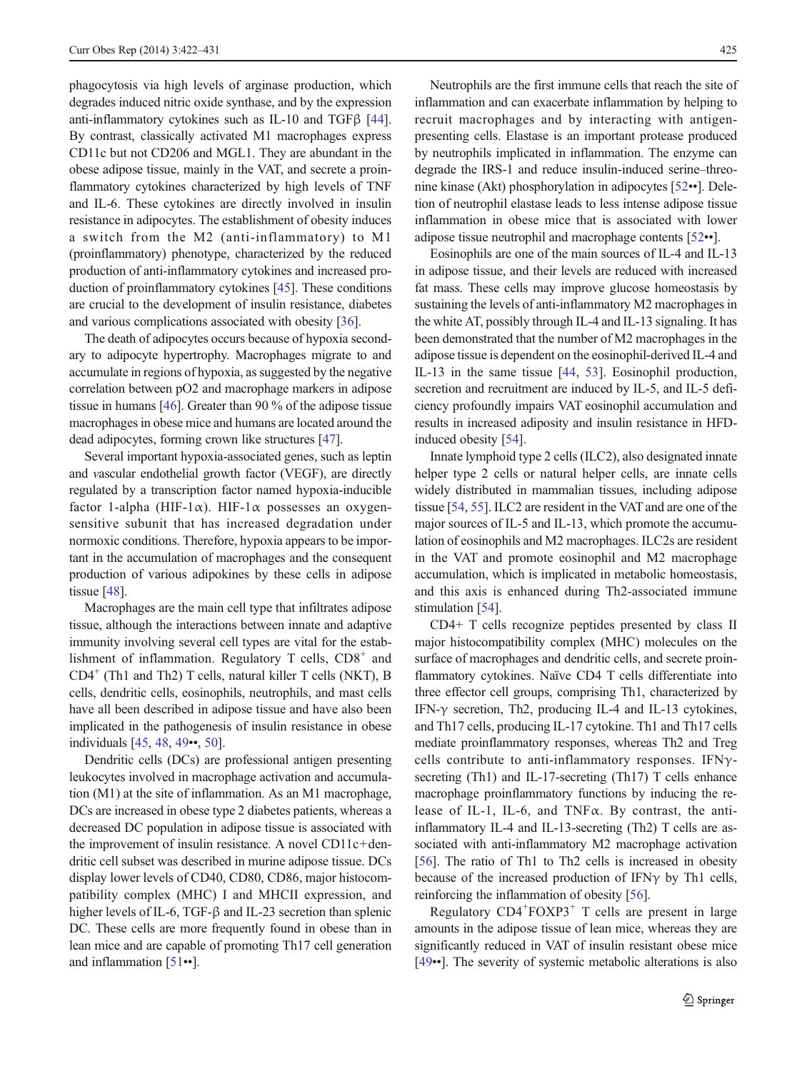phagocytosis via high levels of arginase production, which degrades induced nitric oxide synthase, and by the expression anti-inflammatory cytokines such as IL-10 and TGFβ [[44\]](#page-7-0). By contrast, classically activated M1 macrophages express CD11c but not CD206 and MGL1. They are abundant in the obese adipose tissue, mainly in the VAT, and secrete a proinflammatory cytokines characterized by high levels of TNF and IL-6. These cytokines are directly involved in insulin resistance in adipocytes. The establishment of obesity induces a switch from the M2 (anti-inflammatory) to M1 (proinflammatory) phenotype, characterized by the reduced production of anti-inflammatory cytokines and increased production of proinflammatory cytokines [[45\]](#page-7-0). These conditions are crucial to the development of insulin resistance, diabetes and various complications associated with obesity [\[36](#page-7-0)].

The death of adipocytes occurs because of hypoxia secondary to adipocyte hypertrophy. Macrophages migrate to and accumulate in regions of hypoxia, as suggested by the negative correlation between pO2 and macrophage markers in adipose tissue in humans [[46](#page-7-0)]. Greater than 90 % of the adipose tissue macrophages in obese mice and humans are located around the dead adipocytes, forming crown like structures [\[47\]](#page-7-0).

Several important hypoxia-associated genes, such as leptin and vascular endothelial growth factor (VEGF), are directly regulated by a transcription factor named hypoxia-inducible factor 1-alpha (HIF-1 $\alpha$ ). HIF-1 $\alpha$  possesses an oxygensensitive subunit that has increased degradation under normoxic conditions. Therefore, hypoxia appears to be important in the accumulation of macrophages and the consequent production of various adipokines by these cells in adipose tissue [[48](#page-8-0)].

Macrophages are the main cell type that infiltrates adipose tissue, although the interactions between innate and adaptive immunity involving several cell types are vital for the establishment of inflammation. Regulatory  $T$  cells,  $CD8<sup>+</sup>$  and  $CD4^+$  (Th1 and Th2) T cells, natural killer T cells (NKT), B cells, dendritic cells, eosinophils, neutrophils, and mast cells have all been described in adipose tissue and have also been implicated in the pathogenesis of insulin resistance in obese individuals [[45,](#page-7-0) [48](#page-8-0), [49](#page-8-0)••, [50\]](#page-8-0).

Dendritic cells (DCs) are professional antigen presenting leukocytes involved in macrophage activation and accumulation (M1) at the site of inflammation. As an M1 macrophage, DCs are increased in obese type 2 diabetes patients, whereas a decreased DC population in adipose tissue is associated with the improvement of insulin resistance. A novel CD11c+dendritic cell subset was described in murine adipose tissue. DCs display lower levels of CD40, CD80, CD86, major histocompatibility complex (MHC) I and MHCII expression, and higher levels of IL-6, TGF-β and IL-23 secretion than splenic DC. These cells are more frequently found in obese than in lean mice and are capable of promoting Th17 cell generation and inflammation [[51](#page-8-0)••].

Neutrophils are the first immune cells that reach the site of inflammation and can exacerbate inflammation by helping to recruit macrophages and by interacting with antigenpresenting cells. Elastase is an important protease produced by neutrophils implicated in inflammation. The enzyme can degrade the IRS-1 and reduce insulin-induced serine–threonine kinase (Akt) phosphorylation in adipocytes [\[52](#page-8-0)••]. Deletion of neutrophil elastase leads to less intense adipose tissue inflammation in obese mice that is associated with lower adipose tissue neutrophil and macrophage contents [\[52](#page-8-0)••].

Eosinophils are one of the main sources of IL-4 and IL-13 in adipose tissue, and their levels are reduced with increased fat mass. These cells may improve glucose homeostasis by sustaining the levels of anti-inflammatory M2 macrophages in the white AT, possibly through IL-4 and IL-13 signaling. It has been demonstrated that the number of M2 macrophages in the adipose tissue is dependent on the eosinophil-derived IL-4 and IL-13 in the same tissue [\[44](#page-7-0), [53\]](#page-8-0). Eosinophil production, secretion and recruitment are induced by IL-5, and IL-5 deficiency profoundly impairs VAT eosinophil accumulation and results in increased adiposity and insulin resistance in HFDinduced obesity [\[54](#page-8-0)].

Innate lymphoid type 2 cells (ILC2), also designated innate helper type 2 cells or natural helper cells, are innate cells widely distributed in mammalian tissues, including adipose tissue [\[54,](#page-8-0) [55](#page-8-0)]. ILC2 are resident in the VAT and are one of the major sources of IL-5 and IL-13, which promote the accumulation of eosinophils and M2 macrophages. ILC2s are resident in the VAT and promote eosinophil and M2 macrophage accumulation, which is implicated in metabolic homeostasis, and this axis is enhanced during Th2-associated immune stimulation [\[54](#page-8-0)].

CD4+ T cells recognize peptides presented by class II major histocompatibility complex (MHC) molecules on the surface of macrophages and dendritic cells, and secrete proinflammatory cytokines. Naïve CD4 T cells differentiate into three effector cell groups, comprising Th1, characterized by IFN- $\gamma$  secretion, Th2, producing IL-4 and IL-13 cytokines, and Th17 cells, producing IL-17 cytokine. Th1 and Th17 cells mediate proinflammatory responses, whereas Th2 and Treg cells contribute to anti-inflammatory responses. IFNγsecreting (Th1) and IL-17-secreting (Th17) T cells enhance macrophage proinflammatory functions by inducing the release of IL-1, IL-6, and TNFα. By contrast, the antiinflammatory IL-4 and IL-13-secreting (Th2) T cells are associated with anti-inflammatory M2 macrophage activation [\[56](#page-8-0)]. The ratio of Th1 to Th2 cells is increased in obesity because of the increased production of IFN $\gamma$  by Th1 cells, reinforcing the inflammation of obesity [\[56\]](#page-8-0).

Regulatory CD4<sup>+</sup>FOXP3<sup>+</sup> T cells are present in large amounts in the adipose tissue of lean mice, whereas they are significantly reduced in VAT of insulin resistant obese mice [\[49](#page-8-0)••]. The severity of systemic metabolic alterations is also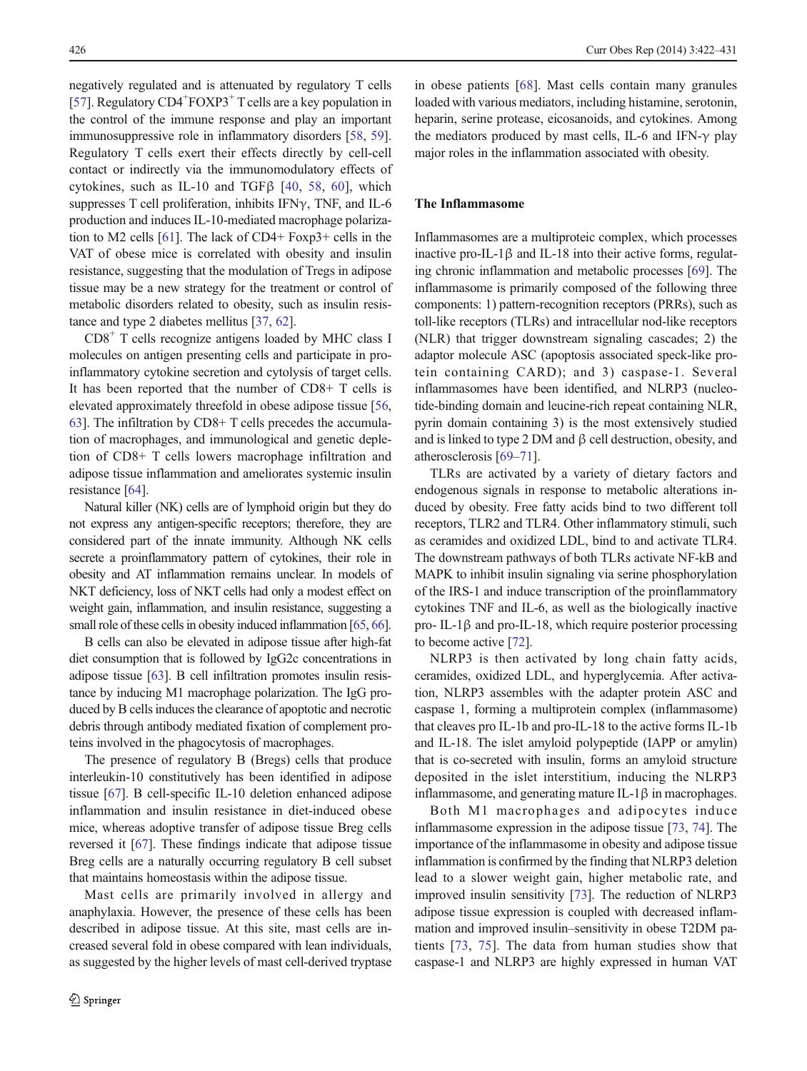negatively regulated and is attenuated by regulatory T cells [\[57\]](#page-8-0). Regulatory CD4<sup>+</sup>FOXP3<sup>+</sup> T cells are a key population in the control of the immune response and play an important immunosuppressive role in inflammatory disorders [\[58](#page-8-0), [59\]](#page-8-0). Regulatory T cells exert their effects directly by cell-cell contact or indirectly via the immunomodulatory effects of cytokines, such as IL-10 and TGFβ [[40,](#page-7-0) [58,](#page-8-0) [60\]](#page-8-0), which suppresses T cell proliferation, inhibits IFN $\gamma$ , TNF, and IL-6 production and induces IL-10-mediated macrophage polarization to M2 cells [[61](#page-8-0)]. The lack of CD4+ Foxp3+ cells in the VAT of obese mice is correlated with obesity and insulin resistance, suggesting that the modulation of Tregs in adipose tissue may be a new strategy for the treatment or control of metabolic disorders related to obesity, such as insulin resistance and type 2 diabetes mellitus [[37](#page-7-0), [62](#page-8-0)].

 $CD8<sup>+</sup>$  T cells recognize antigens loaded by MHC class I molecules on antigen presenting cells and participate in proinflammatory cytokine secretion and cytolysis of target cells. It has been reported that the number of CD8+ T cells is elevated approximately threefold in obese adipose tissue [[56,](#page-8-0) [63\]](#page-8-0). The infiltration by CD8+ T cells precedes the accumulation of macrophages, and immunological and genetic depletion of CD8+ T cells lowers macrophage infiltration and adipose tissue inflammation and ameliorates systemic insulin resistance [[64](#page-8-0)].

Natural killer (NK) cells are of lymphoid origin but they do not express any antigen-specific receptors; therefore, they are considered part of the innate immunity. Although NK cells secrete a proinflammatory pattern of cytokines, their role in obesity and AT inflammation remains unclear. In models of NKT deficiency, loss of NKT cells had only a modest effect on weight gain, inflammation, and insulin resistance, suggesting a small role of these cells in obesity induced inflammation [\[65](#page-8-0), [66\]](#page-8-0).

B cells can also be elevated in adipose tissue after high-fat diet consumption that is followed by IgG2c concentrations in adipose tissue [[63](#page-8-0)]. B cell infiltration promotes insulin resistance by inducing M1 macrophage polarization. The IgG produced by B cells induces the clearance of apoptotic and necrotic debris through antibody mediated fixation of complement proteins involved in the phagocytosis of macrophages.

The presence of regulatory B (Bregs) cells that produce interleukin-10 constitutively has been identified in adipose tissue [[67](#page-8-0)]. B cell-specific IL-10 deletion enhanced adipose inflammation and insulin resistance in diet-induced obese mice, whereas adoptive transfer of adipose tissue Breg cells reversed it [[67](#page-8-0)]. These findings indicate that adipose tissue Breg cells are a naturally occurring regulatory B cell subset that maintains homeostasis within the adipose tissue.

Mast cells are primarily involved in allergy and anaphylaxia. However, the presence of these cells has been described in adipose tissue. At this site, mast cells are increased several fold in obese compared with lean individuals, as suggested by the higher levels of mast cell-derived tryptase in obese patients [[68\]](#page-8-0). Mast cells contain many granules loaded with various mediators, including histamine, serotonin, heparin, serine protease, eicosanoids, and cytokines. Among the mediators produced by mast cells, IL-6 and IFN-γ play major roles in the inflammation associated with obesity.

## The Inflammasome

Inflammasomes are a multiproteic complex, which processes inactive pro-IL-1 $\beta$  and IL-18 into their active forms, regulating chronic inflammation and metabolic processes [[69](#page-8-0)]. The inflammasome is primarily composed of the following three components: 1) pattern-recognition receptors (PRRs), such as toll-like receptors (TLRs) and intracellular nod-like receptors (NLR) that trigger downstream signaling cascades; 2) the adaptor molecule ASC (apoptosis associated speck-like protein containing CARD); and 3) caspase-1. Several inflammasomes have been identified, and NLRP3 (nucleotide-binding domain and leucine-rich repeat containing NLR, pyrin domain containing 3) is the most extensively studied and is linked to type 2 DM and β cell destruction, obesity, and atherosclerosis [\[69](#page-8-0)–[71](#page-8-0)].

TLRs are activated by a variety of dietary factors and endogenous signals in response to metabolic alterations induced by obesity. Free fatty acids bind to two different toll receptors, TLR2 and TLR4. Other inflammatory stimuli, such as ceramides and oxidized LDL, bind to and activate TLR4. The downstream pathways of both TLRs activate NF-kB and MAPK to inhibit insulin signaling via serine phosphorylation of the IRS-1 and induce transcription of the proinflammatory cytokines TNF and IL-6, as well as the biologically inactive pro- IL-1 $\beta$  and pro-IL-18, which require posterior processing to become active [\[72\]](#page-8-0).

NLRP3 is then activated by long chain fatty acids, ceramides, oxidized LDL, and hyperglycemia. After activation, NLRP3 assembles with the adapter protein ASC and caspase 1, forming a multiprotein complex (inflammasome) that cleaves pro IL-1b and pro-IL-18 to the active forms IL-1b and IL-18. The islet amyloid polypeptide (IAPP or amylin) that is co-secreted with insulin, forms an amyloid structure deposited in the islet interstitium, inducing the NLRP3 inflammasome, and generating mature IL-1β in macrophages.

Both M1 macrophages and adipocytes induce inflammasome expression in the adipose tissue [[73,](#page-8-0) [74\]](#page-8-0). The importance of the inflammasome in obesity and adipose tissue inflammation is confirmed by the finding that NLRP3 deletion lead to a slower weight gain, higher metabolic rate, and improved insulin sensitivity [[73\]](#page-8-0). The reduction of NLRP3 adipose tissue expression is coupled with decreased inflammation and improved insulin–sensitivity in obese T2DM patients [[73,](#page-8-0) [75](#page-8-0)]. The data from human studies show that caspase-1 and NLRP3 are highly expressed in human VAT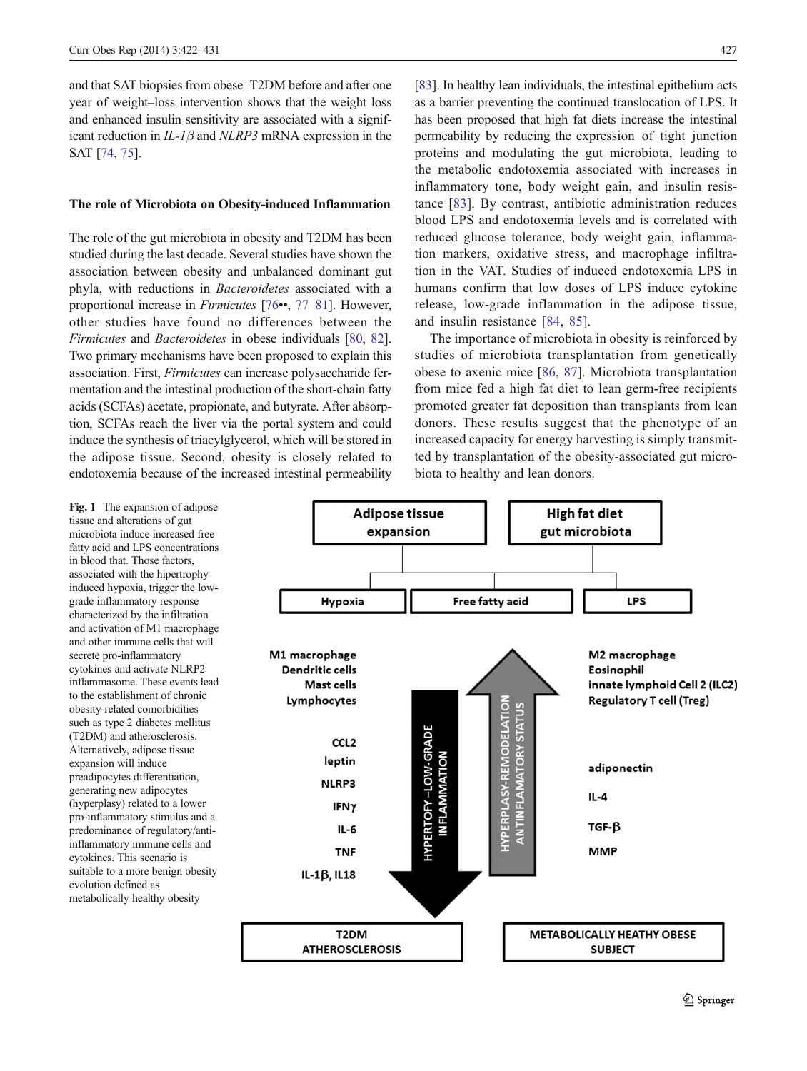<span id="page-5-0"></span>and that SAT biopsies from obese–T2DM before and after one year of weight–loss intervention shows that the weight loss and enhanced insulin sensitivity are associated with a significant reduction in  $IL-1\beta$  and  $NLRP3$  mRNA expression in the SAT [\[74](#page-8-0), [75\]](#page-8-0).

#### The role of Microbiota on Obesity-induced Inflammation

The role of the gut microbiota in obesity and T2DM has been studied during the last decade. Several studies have shown the association between obesity and unbalanced dominant gut phyla, with reductions in Bacteroidetes associated with a proportional increase in Firmicutes [[76](#page-8-0)••, [77](#page-8-0)–[81](#page-8-0)]. However, other studies have found no differences between the Firmicutes and Bacteroidetes in obese individuals [[80,](#page-8-0) [82\]](#page-8-0). Two primary mechanisms have been proposed to explain this association. First, Firmicutes can increase polysaccharide fermentation and the intestinal production of the short-chain fatty acids (SCFAs) acetate, propionate, and butyrate. After absorption, SCFAs reach the liver via the portal system and could induce the synthesis of triacylglycerol, which will be stored in the adipose tissue. Second, obesity is closely related to endotoxemia because of the increased intestinal permeability

[\[83](#page-9-0)]. In healthy lean individuals, the intestinal epithelium acts as a barrier preventing the continued translocation of LPS. It has been proposed that high fat diets increase the intestinal permeability by reducing the expression of tight junction proteins and modulating the gut microbiota, leading to the metabolic endotoxemia associated with increases in inflammatory tone, body weight gain, and insulin resistance [[83\]](#page-9-0). By contrast, antibiotic administration reduces blood LPS and endotoxemia levels and is correlated with reduced glucose tolerance, body weight gain, inflammation markers, oxidative stress, and macrophage infiltration in the VAT. Studies of induced endotoxemia LPS in humans confirm that low doses of LPS induce cytokine release, low-grade inflammation in the adipose tissue, and insulin resistance [\[84,](#page-9-0) [85](#page-9-0)].

The importance of microbiota in obesity is reinforced by studies of microbiota transplantation from genetically obese to axenic mice [\[86](#page-9-0), [87\]](#page-9-0). Microbiota transplantation from mice fed a high fat diet to lean germ-free recipients promoted greater fat deposition than transplants from lean donors. These results suggest that the phenotype of an increased capacity for energy harvesting is simply transmitted by transplantation of the obesity-associated gut microbiota to healthy and lean donors.

Fig. 1 The expansion of adipose tissue and alterations of gut microbiota induce increased free fatty acid and LPS concentrations in blood that. Those factors, associated with the hipertrophy induced hypoxia, trigger the lowgrade inflammatory response characterized by the infiltration and activation of M1 macrophage and other immune cells that will secrete pro-inflammatory cytokines and activate NLRP2 inflammasome. These events lead to the establishment of chronic obesity-related comorbidities such as type 2 diabetes mellitus (T2DM) and atherosclerosis. Alternatively, adipose tissue expansion will induce preadipocytes differentiation, generating new adipocytes (hyperplasy) related to a lower pro-inflammatory stimulus and a predominance of regulatory/antiinflammatory immune cells and cytokines. This scenario is suitable to a more benign obesity evolution defined as metabolically healthy obesity

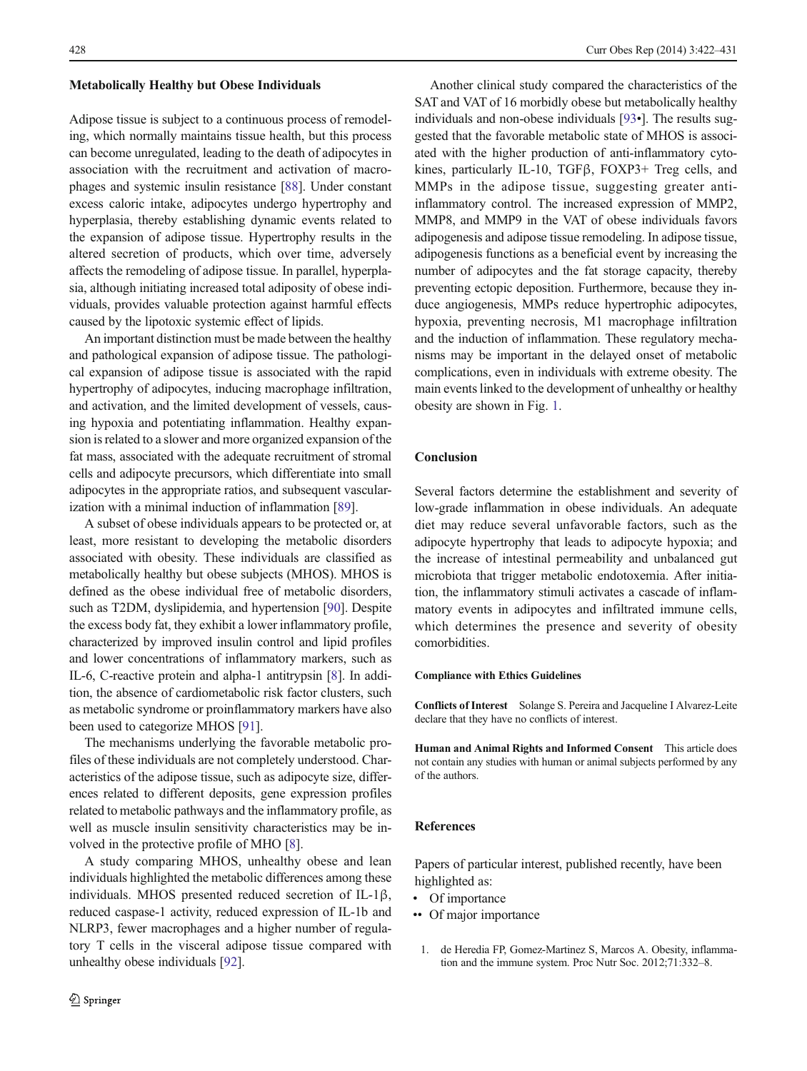#### <span id="page-6-0"></span>Metabolically Healthy but Obese Individuals

Adipose tissue is subject to a continuous process of remodeling, which normally maintains tissue health, but this process can become unregulated, leading to the death of adipocytes in association with the recruitment and activation of macrophages and systemic insulin resistance [\[88](#page-9-0)]. Under constant excess caloric intake, adipocytes undergo hypertrophy and hyperplasia, thereby establishing dynamic events related to the expansion of adipose tissue. Hypertrophy results in the altered secretion of products, which over time, adversely affects the remodeling of adipose tissue. In parallel, hyperplasia, although initiating increased total adiposity of obese individuals, provides valuable protection against harmful effects caused by the lipotoxic systemic effect of lipids.

An important distinction must be made between the healthy and pathological expansion of adipose tissue. The pathological expansion of adipose tissue is associated with the rapid hypertrophy of adipocytes, inducing macrophage infiltration, and activation, and the limited development of vessels, causing hypoxia and potentiating inflammation. Healthy expansion is related to a slower and more organized expansion of the fat mass, associated with the adequate recruitment of stromal cells and adipocyte precursors, which differentiate into small adipocytes in the appropriate ratios, and subsequent vascularization with a minimal induction of inflammation [\[89\]](#page-9-0).

A subset of obese individuals appears to be protected or, at least, more resistant to developing the metabolic disorders associated with obesity. These individuals are classified as metabolically healthy but obese subjects (MHOS). MHOS is defined as the obese individual free of metabolic disorders, such as T2DM, dyslipidemia, and hypertension [[90](#page-9-0)]. Despite the excess body fat, they exhibit a lower inflammatory profile, characterized by improved insulin control and lipid profiles and lower concentrations of inflammatory markers, such as IL-6, C-reactive protein and alpha-1 antitrypsin [\[8](#page-7-0)]. In addition, the absence of cardiometabolic risk factor clusters, such as metabolic syndrome or proinflammatory markers have also been used to categorize MHOS [\[91\]](#page-9-0).

The mechanisms underlying the favorable metabolic profiles of these individuals are not completely understood. Characteristics of the adipose tissue, such as adipocyte size, differences related to different deposits, gene expression profiles related to metabolic pathways and the inflammatory profile, as well as muscle insulin sensitivity characteristics may be involved in the protective profile of MHO [[8](#page-7-0)].

A study comparing MHOS, unhealthy obese and lean individuals highlighted the metabolic differences among these individuals. MHOS presented reduced secretion of IL-1β, reduced caspase-1 activity, reduced expression of IL-1b and NLRP3, fewer macrophages and a higher number of regulatory T cells in the visceral adipose tissue compared with unhealthy obese individuals [\[92](#page-9-0)].

Another clinical study compared the characteristics of the SAT and VAT of 16 morbidly obese but metabolically healthy individuals and non-obese individuals [\[93](#page-9-0)•]. The results suggested that the favorable metabolic state of MHOS is associated with the higher production of anti-inflammatory cytokines, particularly IL-10, TGFβ, FOXP3+ Treg cells, and MMPs in the adipose tissue, suggesting greater antiinflammatory control. The increased expression of MMP2, MMP8, and MMP9 in the VAT of obese individuals favors adipogenesis and adipose tissue remodeling. In adipose tissue, adipogenesis functions as a beneficial event by increasing the number of adipocytes and the fat storage capacity, thereby preventing ectopic deposition. Furthermore, because they induce angiogenesis, MMPs reduce hypertrophic adipocytes, hypoxia, preventing necrosis, M1 macrophage infiltration and the induction of inflammation. These regulatory mechanisms may be important in the delayed onset of metabolic complications, even in individuals with extreme obesity. The main events linked to the development of unhealthy or healthy obesity are shown in Fig. [1](#page-5-0).

## Conclusion

Several factors determine the establishment and severity of low-grade inflammation in obese individuals. An adequate diet may reduce several unfavorable factors, such as the adipocyte hypertrophy that leads to adipocyte hypoxia; and the increase of intestinal permeability and unbalanced gut microbiota that trigger metabolic endotoxemia. After initiation, the inflammatory stimuli activates a cascade of inflammatory events in adipocytes and infiltrated immune cells, which determines the presence and severity of obesity comorbidities.

#### Compliance with Ethics Guidelines

Conflicts of Interest Solange S. Pereira and Jacqueline I Alvarez-Leite declare that they have no conflicts of interest.

Human and Animal Rights and Informed Consent This article does not contain any studies with human or animal subjects performed by any of the authors.

#### References

Papers of particular interest, published recently, have been highlighted as:

- Of importance
- Of major importance
- 1. de Heredia FP, Gomez-Martinez S, Marcos A. Obesity, inflammation and the immune system. Proc Nutr Soc. 2012;71:332–8.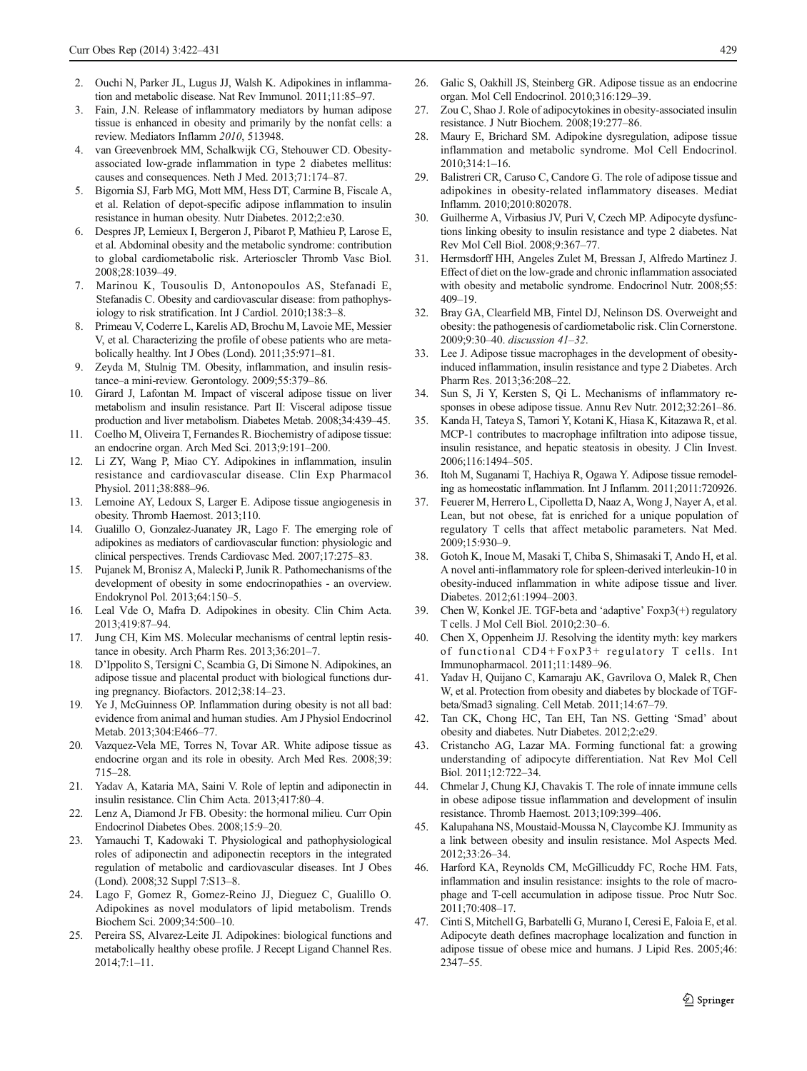- <span id="page-7-0"></span>2. Ouchi N, Parker JL, Lugus JJ, Walsh K. Adipokines in inflammation and metabolic disease. Nat Rev Immunol. 2011;11:85–97.
- 3. Fain, J.N. Release of inflammatory mediators by human adipose tissue is enhanced in obesity and primarily by the nonfat cells: a review. Mediators Inflamm 2010, 513948.
- 4. van Greevenbroek MM, Schalkwijk CG, Stehouwer CD. Obesityassociated low-grade inflammation in type 2 diabetes mellitus: causes and consequences. Neth J Med. 2013;71:174–87.
- 5. Bigornia SJ, Farb MG, Mott MM, Hess DT, Carmine B, Fiscale A, et al. Relation of depot-specific adipose inflammation to insulin resistance in human obesity. Nutr Diabetes. 2012;2:e30.
- 6. Despres JP, Lemieux I, Bergeron J, Pibarot P, Mathieu P, Larose E, et al. Abdominal obesity and the metabolic syndrome: contribution to global cardiometabolic risk. Arterioscler Thromb Vasc Biol. 2008;28:1039–49.
- 7. Marinou K, Tousoulis D, Antonopoulos AS, Stefanadi E, Stefanadis C. Obesity and cardiovascular disease: from pathophysiology to risk stratification. Int J Cardiol. 2010;138:3–8.
- 8. Primeau V, Coderre L, Karelis AD, Brochu M, Lavoie ME, Messier V, et al. Characterizing the profile of obese patients who are metabolically healthy. Int J Obes (Lond). 2011;35:971–81.
- Zeyda M, Stulnig TM. Obesity, inflammation, and insulin resistance–a mini-review. Gerontology. 2009;55:379–86.
- 10. Girard J, Lafontan M. Impact of visceral adipose tissue on liver metabolism and insulin resistance. Part II: Visceral adipose tissue production and liver metabolism. Diabetes Metab. 2008;34:439–45.
- Coelho M, Oliveira T, Fernandes R. Biochemistry of adipose tissue: an endocrine organ. Arch Med Sci. 2013;9:191–200.
- 12. Li ZY, Wang P, Miao CY. Adipokines in inflammation, insulin resistance and cardiovascular disease. Clin Exp Pharmacol Physiol. 2011;38:888-96.
- 13. Lemoine AY, Ledoux S, Larger E. Adipose tissue angiogenesis in obesity. Thromb Haemost. 2013;110.
- 14. Gualillo O, Gonzalez-Juanatey JR, Lago F. The emerging role of adipokines as mediators of cardiovascular function: physiologic and clinical perspectives. Trends Cardiovasc Med. 2007;17:275–83.
- 15. Pujanek M, Bronisz A, Malecki P, Junik R. Pathomechanisms of the development of obesity in some endocrinopathies - an overview. Endokrynol Pol. 2013;64:150–5.
- 16. Leal Vde O, Mafra D. Adipokines in obesity. Clin Chim Acta. 2013;419:87–94.
- 17. Jung CH, Kim MS. Molecular mechanisms of central leptin resistance in obesity. Arch Pharm Res. 2013;36:201–7.
- 18. D'Ippolito S, Tersigni C, Scambia G, Di Simone N. Adipokines, an adipose tissue and placental product with biological functions during pregnancy. Biofactors. 2012;38:14–23.
- 19. Ye J, McGuinness OP. Inflammation during obesity is not all bad: evidence from animal and human studies. Am J Physiol Endocrinol Metab. 2013;304:E466–77.
- 20. Vazquez-Vela ME, Torres N, Tovar AR. White adipose tissue as endocrine organ and its role in obesity. Arch Med Res. 2008;39: 715–28.
- 21. Yadav A, Kataria MA, Saini V. Role of leptin and adiponectin in insulin resistance. Clin Chim Acta. 2013;417:80–4.
- 22. Lenz A, Diamond Jr FB. Obesity: the hormonal milieu. Curr Opin Endocrinol Diabetes Obes. 2008;15:9–20.
- 23. Yamauchi T, Kadowaki T. Physiological and pathophysiological roles of adiponectin and adiponectin receptors in the integrated regulation of metabolic and cardiovascular diseases. Int J Obes (Lond). 2008;32 Suppl 7:S13–8.
- 24. Lago F, Gomez R, Gomez-Reino JJ, Dieguez C, Gualillo O. Adipokines as novel modulators of lipid metabolism. Trends Biochem Sci. 2009;34:500–10.
- 25. Pereira SS, Alvarez-Leite JI. Adipokines: biological functions and metabolically healthy obese profile. J Recept Ligand Channel Res. 2014;7:1–11.
- 26. Galic S, Oakhill JS, Steinberg GR. Adipose tissue as an endocrine organ. Mol Cell Endocrinol. 2010;316:129–39.
- 27. Zou C, Shao J. Role of adipocytokines in obesity-associated insulin resistance. J Nutr Biochem. 2008;19:277–86.
- 28. Maury E, Brichard SM. Adipokine dysregulation, adipose tissue inflammation and metabolic syndrome. Mol Cell Endocrinol. 2010;314:1–16.
- 29. Balistreri CR, Caruso C, Candore G. The role of adipose tissue and adipokines in obesity-related inflammatory diseases. Mediat Inflamm. 2010;2010:802078.
- 30. Guilherme A, Virbasius JV, Puri V, Czech MP. Adipocyte dysfunctions linking obesity to insulin resistance and type 2 diabetes. Nat Rev Mol Cell Biol. 2008;9:367–77.
- 31. Hermsdorff HH, Angeles Zulet M, Bressan J, Alfredo Martinez J. Effect of diet on the low-grade and chronic inflammation associated with obesity and metabolic syndrome. Endocrinol Nutr. 2008;55: 409–19.
- 32. Bray GA, Clearfield MB, Fintel DJ, Nelinson DS. Overweight and obesity: the pathogenesis of cardiometabolic risk. Clin Cornerstone. 2009;9:30–40. discussion 41–32.
- 33. Lee J. Adipose tissue macrophages in the development of obesityinduced inflammation, insulin resistance and type 2 Diabetes. Arch Pharm Res. 2013;36:208–22.
- 34. Sun S, Ji Y, Kersten S, Qi L. Mechanisms of inflammatory responses in obese adipose tissue. Annu Rev Nutr. 2012;32:261–86.
- 35. Kanda H, Tateya S, Tamori Y, Kotani K, Hiasa K, Kitazawa R, et al. MCP-1 contributes to macrophage infiltration into adipose tissue, insulin resistance, and hepatic steatosis in obesity. J Clin Invest. 2006;116:1494–505.
- 36. Itoh M, Suganami T, Hachiya R, Ogawa Y. Adipose tissue remodeling as homeostatic inflammation. Int J Inflamm. 2011;2011:720926.
- 37. Feuerer M, Herrero L, Cipolletta D, Naaz A, Wong J, Nayer A, et al. Lean, but not obese, fat is enriched for a unique population of regulatory T cells that affect metabolic parameters. Nat Med. 2009;15:930–9.
- 38. Gotoh K, Inoue M, Masaki T, Chiba S, Shimasaki T, Ando H, et al. A novel anti-inflammatory role for spleen-derived interleukin-10 in obesity-induced inflammation in white adipose tissue and liver. Diabetes. 2012;61:1994–2003.
- 39. Chen W, Konkel JE. TGF-beta and 'adaptive' Foxp3(+) regulatory T cells. J Mol Cell Biol. 2010;2:30–6.
- 40. Chen X, Oppenheim JJ. Resolving the identity myth: key markers of functional CD4+FoxP3+ regulatory T cells. Int Immunopharmacol. 2011;11:1489–96.
- 41. Yadav H, Quijano C, Kamaraju AK, Gavrilova O, Malek R, Chen W, et al. Protection from obesity and diabetes by blockade of TGFbeta/Smad3 signaling. Cell Metab. 2011;14:67–79.
- 42. Tan CK, Chong HC, Tan EH, Tan NS. Getting 'Smad' about obesity and diabetes. Nutr Diabetes. 2012;2:e29.
- 43. Cristancho AG, Lazar MA. Forming functional fat: a growing understanding of adipocyte differentiation. Nat Rev Mol Cell Biol. 2011;12:722–34.
- 44. Chmelar J, Chung KJ, Chavakis T. The role of innate immune cells in obese adipose tissue inflammation and development of insulin resistance. Thromb Haemost. 2013;109:399–406.
- 45. Kalupahana NS, Moustaid-Moussa N, Claycombe KJ. Immunity as a link between obesity and insulin resistance. Mol Aspects Med. 2012;33:26–34.
- 46. Harford KA, Reynolds CM, McGillicuddy FC, Roche HM. Fats, inflammation and insulin resistance: insights to the role of macrophage and T-cell accumulation in adipose tissue. Proc Nutr Soc. 2011;70:408–17.
- 47. Cinti S, Mitchell G, Barbatelli G, Murano I, Ceresi E, Faloia E, et al. Adipocyte death defines macrophage localization and function in adipose tissue of obese mice and humans. J Lipid Res. 2005;46: 2347–55.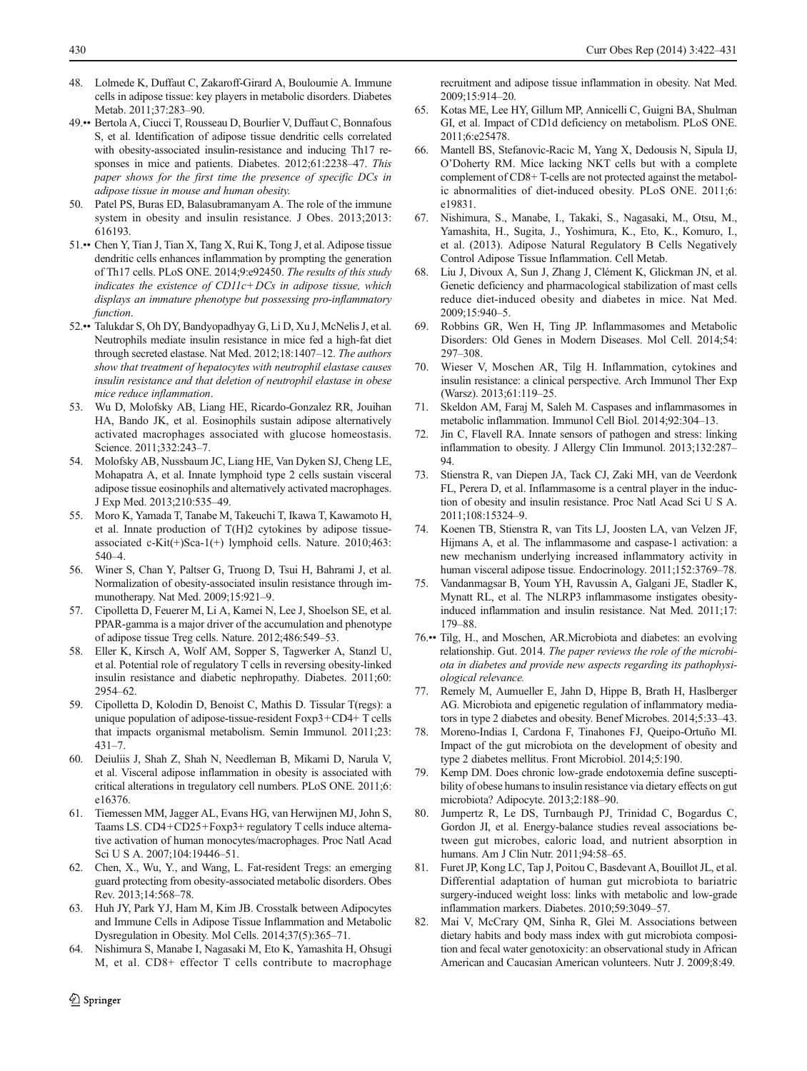- <span id="page-8-0"></span>48. Lolmede K, Duffaut C, Zakaroff-Girard A, Bouloumie A. Immune cells in adipose tissue: key players in metabolic disorders. Diabetes Metab. 2011;37:283–90.
- 49.•• Bertola A, Ciucci T, Rousseau D, Bourlier V, Duffaut C, Bonnafous S, et al. Identification of adipose tissue dendritic cells correlated with obesity-associated insulin-resistance and inducing Th17 responses in mice and patients. Diabetes. 2012;61:2238–47. This paper shows for the first time the presence of specific DCs in adipose tissue in mouse and human obesity.
- 50. Patel PS, Buras ED, Balasubramanyam A. The role of the immune system in obesity and insulin resistance. J Obes. 2013;2013: 616193.
- 51.•• Chen Y, Tian J, Tian X, Tang X, Rui K, Tong J, et al. Adipose tissue dendritic cells enhances inflammation by prompting the generation of Th17 cells. PLoS ONE. 2014;9:e92450. The results of this study indicates the existence of  $CDIL + DCs$  in adipose tissue, which displays an immature phenotype but possessing pro-inflammatory function.
- 52.•• Talukdar S, Oh DY, Bandyopadhyay G, Li D, Xu J, McNelis J, et al. Neutrophils mediate insulin resistance in mice fed a high-fat diet through secreted elastase. Nat Med. 2012;18:1407–12. The authors show that treatment of hepatocytes with neutrophil elastase causes insulin resistance and that deletion of neutrophil elastase in obese mice reduce inflammation.
- 53. Wu D, Molofsky AB, Liang HE, Ricardo-Gonzalez RR, Jouihan HA, Bando JK, et al. Eosinophils sustain adipose alternatively activated macrophages associated with glucose homeostasis. Science. 2011;332:243–7.
- 54. Molofsky AB, Nussbaum JC, Liang HE, Van Dyken SJ, Cheng LE, Mohapatra A, et al. Innate lymphoid type 2 cells sustain visceral adipose tissue eosinophils and alternatively activated macrophages. J Exp Med. 2013;210:535–49.
- 55. Moro K, Yamada T, Tanabe M, Takeuchi T, Ikawa T, Kawamoto H, et al. Innate production of T(H)2 cytokines by adipose tissueassociated c-Kit(+)Sca-1(+) lymphoid cells. Nature. 2010;463: 540–4.
- 56. Winer S, Chan Y, Paltser G, Truong D, Tsui H, Bahrami J, et al. Normalization of obesity-associated insulin resistance through immunotherapy. Nat Med. 2009;15:921–9.
- 57. Cipolletta D, Feuerer M, Li A, Kamei N, Lee J, Shoelson SE, et al. PPAR-gamma is a major driver of the accumulation and phenotype of adipose tissue Treg cells. Nature. 2012;486:549–53.
- 58. Eller K, Kirsch A, Wolf AM, Sopper S, Tagwerker A, Stanzl U, et al. Potential role of regulatory T cells in reversing obesity-linked insulin resistance and diabetic nephropathy. Diabetes. 2011;60: 2954–62.
- 59. Cipolletta D, Kolodin D, Benoist C, Mathis D. Tissular T(regs): a unique population of adipose-tissue-resident Foxp3+CD4+ T cells that impacts organismal metabolism. Semin Immunol. 2011;23: 431–7.
- 60. Deiuliis J, Shah Z, Shah N, Needleman B, Mikami D, Narula V, et al. Visceral adipose inflammation in obesity is associated with critical alterations in tregulatory cell numbers. PLoS ONE. 2011;6: e16376.
- 61. Tiemessen MM, Jagger AL, Evans HG, van Herwijnen MJ, John S, Taams LS. CD4+CD25+Foxp3+ regulatory T cells induce alternative activation of human monocytes/macrophages. Proc Natl Acad Sci U S A. 2007;104:19446–51.
- 62. Chen, X., Wu, Y., and Wang, L. Fat-resident Tregs: an emerging guard protecting from obesity-associated metabolic disorders. Obes Rev. 2013;14:568–78.
- 63. Huh JY, Park YJ, Ham M, Kim JB. Crosstalk between Adipocytes and Immune Cells in Adipose Tissue Inflammation and Metabolic Dysregulation in Obesity. Mol Cells. 2014;37(5):365–71.
- 64. Nishimura S, Manabe I, Nagasaki M, Eto K, Yamashita H, Ohsugi M, et al. CD8+ effector T cells contribute to macrophage

recruitment and adipose tissue inflammation in obesity. Nat Med. 2009;15:914–20.

- 65. Kotas ME, Lee HY, Gillum MP, Annicelli C, Guigni BA, Shulman GI, et al. Impact of CD1d deficiency on metabolism. PLoS ONE. 2011;6:e25478.
- 66. Mantell BS, Stefanovic-Racic M, Yang X, Dedousis N, Sipula IJ, O'Doherty RM. Mice lacking NKT cells but with a complete complement of CD8+ T-cells are not protected against the metabolic abnormalities of diet-induced obesity. PLoS ONE. 2011;6: e19831.
- 67. Nishimura, S., Manabe, I., Takaki, S., Nagasaki, M., Otsu, M., Yamashita, H., Sugita, J., Yoshimura, K., Eto, K., Komuro, I., et al. (2013). Adipose Natural Regulatory B Cells Negatively Control Adipose Tissue Inflammation. Cell Metab.
- 68. Liu J, Divoux A, Sun J, Zhang J, Clément K, Glickman JN, et al. Genetic deficiency and pharmacological stabilization of mast cells reduce diet-induced obesity and diabetes in mice. Nat Med. 2009;15:940–5.
- 69. Robbins GR, Wen H, Ting JP. Inflammasomes and Metabolic Disorders: Old Genes in Modern Diseases. Mol Cell. 2014;54: 297–308.
- 70. Wieser V, Moschen AR, Tilg H. Inflammation, cytokines and insulin resistance: a clinical perspective. Arch Immunol Ther Exp (Warsz). 2013;61:119–25.
- 71. Skeldon AM, Faraj M, Saleh M. Caspases and inflammasomes in metabolic inflammation. Immunol Cell Biol. 2014;92:304–13.
- Jin C, Flavell RA. Innate sensors of pathogen and stress: linking inflammation to obesity. J Allergy Clin Immunol. 2013;132:287– 94.
- 73. Stienstra R, van Diepen JA, Tack CJ, Zaki MH, van de Veerdonk FL, Perera D, et al. Inflammasome is a central player in the induction of obesity and insulin resistance. Proc Natl Acad Sci U S A. 2011;108:15324–9.
- 74. Koenen TB, Stienstra R, van Tits LJ, Joosten LA, van Velzen JF, Hijmans A, et al. The inflammasome and caspase-1 activation: a new mechanism underlying increased inflammatory activity in human visceral adipose tissue. Endocrinology. 2011;152:3769–78.
- 75. Vandanmagsar B, Youm YH, Ravussin A, Galgani JE, Stadler K, Mynatt RL, et al. The NLRP3 inflammasome instigates obesityinduced inflammation and insulin resistance. Nat Med. 2011;17: 179–88.
- 76.•• Tilg, H., and Moschen, AR.Microbiota and diabetes: an evolving relationship. Gut. 2014. The paper reviews the role of the microbiota in diabetes and provide new aspects regarding its pathophysiological relevance.
- 77. Remely M, Aumueller E, Jahn D, Hippe B, Brath H, Haslberger AG. Microbiota and epigenetic regulation of inflammatory mediators in type 2 diabetes and obesity. Benef Microbes. 2014;5:33–43.
- 78. Moreno-Indias I, Cardona F, Tinahones FJ, Queipo-Ortuño MI. Impact of the gut microbiota on the development of obesity and type 2 diabetes mellitus. Front Microbiol. 2014;5:190.
- 79. Kemp DM. Does chronic low-grade endotoxemia define susceptibility of obese humans to insulin resistance via dietary effects on gut microbiota? Adipocyte. 2013;2:188–90.
- 80. Jumpertz R, Le DS, Turnbaugh PJ, Trinidad C, Bogardus C, Gordon JI, et al. Energy-balance studies reveal associations between gut microbes, caloric load, and nutrient absorption in humans. Am J Clin Nutr. 2011;94:58–65.
- 81. Furet JP, Kong LC, Tap J, Poitou C, Basdevant A, Bouillot JL, et al. Differential adaptation of human gut microbiota to bariatric surgery-induced weight loss: links with metabolic and low-grade inflammation markers. Diabetes. 2010;59:3049–57.
- 82. Mai V, McCrary QM, Sinha R, Glei M. Associations between dietary habits and body mass index with gut microbiota composition and fecal water genotoxicity: an observational study in African American and Caucasian American volunteers. Nutr J. 2009;8:49.